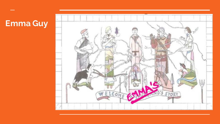## **Emma Guy**

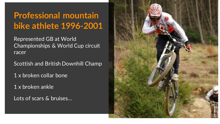# **Professional mountain bike athlete 1996-2001**

Represented GB at World Championships & World Cup circuit racer

Scottish and British Downhill Champ

1 x broken collar bone

1 x broken ankle

Lots of scars & bruises…

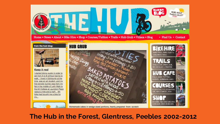

**The Hub in the Forest, Glentress, Peebles 2002-2012**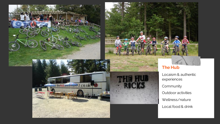

experiences Community Outdoor activities Wellness/nature Local food & drink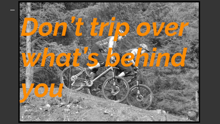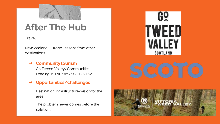

# **After The Hub**

#### Travel

New Zealand, Europe-lessons from other destinations

### ➔ **Community tourism**

Go Tweed Valley/Communities Leading in Tourism/SCOTO/EWS

## ➔ **Opportunities/challenges**

Destination infrastructure/vision for the area

The problem never comes before the solution…



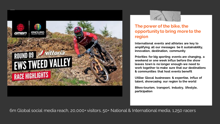



#### **The power of the bike, the opportunity to bring more to the region**

**International events and athletes are key to amplifying all our messages be it sustainability, innovation, destination, community**

**Priorities for big sporting events are changing, a weekend or one week influx before the show leaves town is no longer enough-we need to work together to make sure that our destinations & communities that host events benefit**

**Utilise Glocal businesses & expertise, influx of talent, showcasing our region to the world**

**Bikes=tourism, transport, industry, lifestyle, participation**

6m Global social media reach, 20,000+ visitors, 50+ National & International media, 1,250 racers